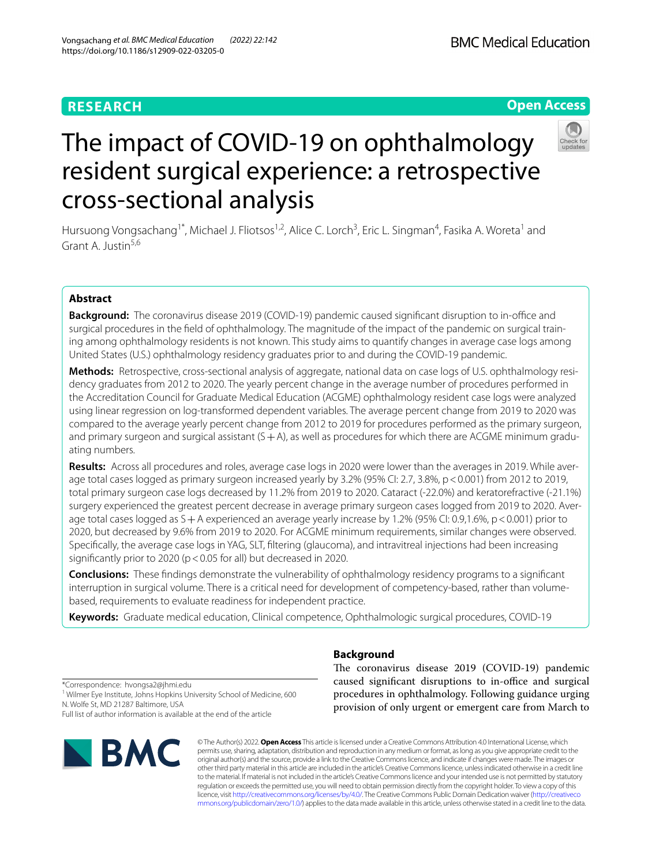# **RESEARCH**

# The impact of COVID-19 on ophthalmology resident surgical experience: a retrospective cross-sectional analysis

Hursuong Vongsachang<sup>1\*</sup>, Michael J. Fliotsos<sup>1,2</sup>, Alice C. Lorch<sup>3</sup>, Eric L. Singman<sup>4</sup>, Fasika A. Woreta<sup>1</sup> and Grant A. Justin<sup>5,6</sup>

# **Abstract**

**Background:** The coronavirus disease 2019 (COVID-19) pandemic caused significant disruption to in-office and surgical procedures in the feld of ophthalmology. The magnitude of the impact of the pandemic on surgical training among ophthalmology residents is not known. This study aims to quantify changes in average case logs among United States (U.S.) ophthalmology residency graduates prior to and during the COVID-19 pandemic.

**Methods:** Retrospective, cross-sectional analysis of aggregate, national data on case logs of U.S. ophthalmology residency graduates from 2012 to 2020. The yearly percent change in the average number of procedures performed in the Accreditation Council for Graduate Medical Education (ACGME) ophthalmology resident case logs were analyzed using linear regression on log-transformed dependent variables. The average percent change from 2019 to 2020 was compared to the average yearly percent change from 2012 to 2019 for procedures performed as the primary surgeon, and primary surgeon and surgical assistant  $(S + A)$ , as well as procedures for which there are ACGME minimum graduating numbers.

**Results:** Across all procedures and roles, average case logs in 2020 were lower than the averages in 2019. While average total cases logged as primary surgeon increased yearly by 3.2% (95% CI: 2.7, 3.8%, p < 0.001) from 2012 to 2019, total primary surgeon case logs decreased by 11.2% from 2019 to 2020. Cataract (-22.0%) and keratorefractive (-21.1%) surgery experienced the greatest percent decrease in average primary surgeon cases logged from 2019 to 2020. Average total cases logged as  $S+A$  experienced an average yearly increase by 1.2% (95% CI: 0.9,1.6%, p < 0.001) prior to 2020, but decreased by 9.6% from 2019 to 2020. For ACGME minimum requirements, similar changes were observed. Specifcally, the average case logs in YAG, SLT, fltering (glaucoma), and intravitreal injections had been increasing significantly prior to 2020 ( $p < 0.05$  for all) but decreased in 2020.

**Conclusions:** These fndings demonstrate the vulnerability of ophthalmology residency programs to a signifcant interruption in surgical volume. There is a critical need for development of competency-based, rather than volumebased, requirements to evaluate readiness for independent practice.

**Keywords:** Graduate medical education, Clinical competence, Ophthalmologic surgical procedures, COVID-19

provision of only urgent or emergent care from March to

© The Author(s) 2022. **Open Access** This article is licensed under a Creative Commons Attribution 4.0 International License, which permits use, sharing, adaptation, distribution and reproduction in any medium or format, as long as you give appropriate credit to the original author(s) and the source, provide a link to the Creative Commons licence, and indicate if changes were made. The images or other third party material in this article are included in the article's Creative Commons licence, unless indicated otherwise in a credit line to the material. If material is not included in the article's Creative Commons licence and your intended use is not permitted by statutory regulation or exceeds the permitted use, you will need to obtain permission directly from the copyright holder. To view a copy of this licence, visit [http://creativecommons.org/licenses/by/4.0/.](http://creativecommons.org/licenses/by/4.0/) The Creative Commons Public Domain Dedication waiver ([http://creativeco](http://creativecommons.org/publicdomain/zero/1.0/) [mmons.org/publicdomain/zero/1.0/](http://creativecommons.org/publicdomain/zero/1.0/)) applies to the data made available in this article, unless otherwise stated in a credit line to the data.

# **Background**

The coronavirus disease 2019 (COVID-19) pandemic caused significant disruptions to in-office and surgical procedures in ophthalmology. Following guidance urging

# **Open Access**

\*Correspondence: hvongsa2@jhmi.edu <sup>1</sup> Wilmer Eye Institute, Johns Hopkins University School of Medicine, 600 N. Wolfe St, MD 21287 Baltimore, USA

Full list of author information is available at the end of the article



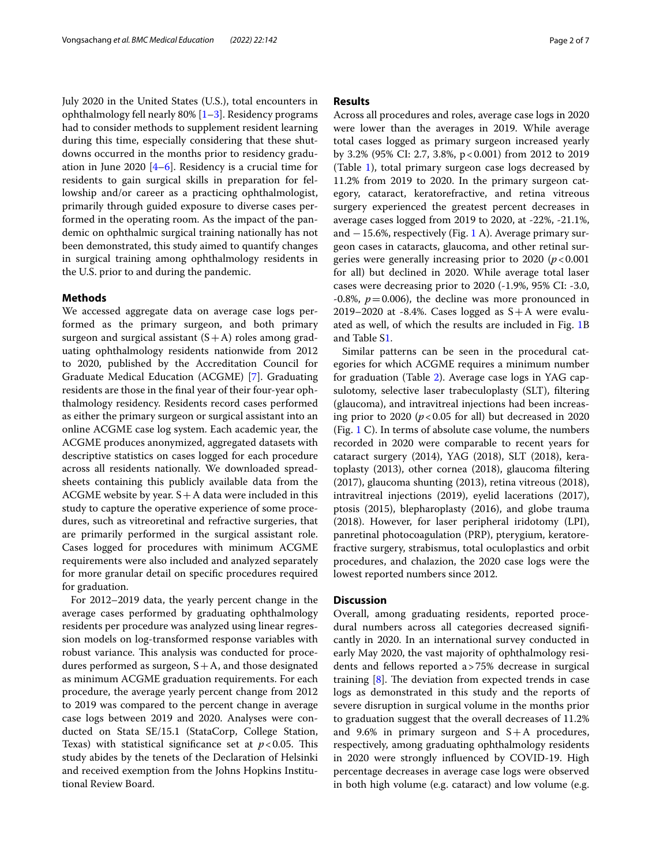July 2020 in the United States (U.S.), total encounters in ophthalmology fell nearly 80%  $[1-3]$  $[1-3]$ . Residency programs had to consider methods to supplement resident learning during this time, especially considering that these shutdowns occurred in the months prior to residency graduation in June 2020  $[4-6]$  $[4-6]$  $[4-6]$ . Residency is a crucial time for residents to gain surgical skills in preparation for fellowship and/or career as a practicing ophthalmologist, primarily through guided exposure to diverse cases performed in the operating room. As the impact of the pandemic on ophthalmic surgical training nationally has not been demonstrated, this study aimed to quantify changes in surgical training among ophthalmology residents in the U.S. prior to and during the pandemic.

# **Methods**

We accessed aggregate data on average case logs performed as the primary surgeon, and both primary surgeon and surgical assistant  $(S+A)$  roles among graduating ophthalmology residents nationwide from 2012 to 2020, published by the Accreditation Council for Graduate Medical Education (ACGME) [[7\]](#page-6-4). Graduating residents are those in the fnal year of their four-year ophthalmology residency. Residents record cases performed as either the primary surgeon or surgical assistant into an online ACGME case log system. Each academic year, the ACGME produces anonymized, aggregated datasets with descriptive statistics on cases logged for each procedure across all residents nationally. We downloaded spreadsheets containing this publicly available data from the ACGME website by year.  $S + A$  data were included in this study to capture the operative experience of some procedures, such as vitreoretinal and refractive surgeries, that are primarily performed in the surgical assistant role. Cases logged for procedures with minimum ACGME requirements were also included and analyzed separately for more granular detail on specifc procedures required for graduation.

For 2012–2019 data, the yearly percent change in the average cases performed by graduating ophthalmology residents per procedure was analyzed using linear regression models on log-transformed response variables with robust variance. This analysis was conducted for procedures performed as surgeon,  $S+A$ , and those designated as minimum ACGME graduation requirements. For each procedure, the average yearly percent change from 2012 to 2019 was compared to the percent change in average case logs between 2019 and 2020. Analyses were conducted on Stata SE/15.1 (StataCorp, College Station, Texas) with statistical significance set at  $p < 0.05$ . This study abides by the tenets of the Declaration of Helsinki and received exemption from the Johns Hopkins Institutional Review Board.

## **Results**

Across all procedures and roles, average case logs in 2020 were lower than the averages in 2019. While average total cases logged as primary surgeon increased yearly by 3.2% (95% CI: 2.7, 3.8%, p<0.001) from 2012 to 2019 (Table [1\)](#page-2-0), total primary surgeon case logs decreased by 11.2% from 2019 to 2020. In the primary surgeon category, cataract, keratorefractive, and retina vitreous surgery experienced the greatest percent decreases in average cases logged from 2019 to 2020, at -22%, -21.1%, and −15.6%, respectively (Fig. [1](#page-3-0) A). Average primary surgeon cases in cataracts, glaucoma, and other retinal surgeries were generally increasing prior to 2020 (*p*<0.001 for all) but declined in 2020. While average total laser cases were decreasing prior to 2020 (-1.9%, 95% CI: -3.0,  $-0.8\%$ ,  $p = 0.006$ ), the decline was more pronounced in 2019–2020 at -8.4%. Cases logged as  $S+A$  were evaluated as well, of which the results are included in Fig. [1B](#page-3-0) and Table S[1.](#page-6-5)

Similar patterns can be seen in the procedural categories for which ACGME requires a minimum number for graduation (Table [2](#page-4-0)). Average case logs in YAG capsulotomy, selective laser trabeculoplasty (SLT), fltering (glaucoma), and intravitreal injections had been increasing prior to 2020 ( $p < 0.05$  for all) but decreased in 2020 (Fig. [1](#page-3-0) C). In terms of absolute case volume, the numbers recorded in 2020 were comparable to recent years for cataract surgery (2014), YAG (2018), SLT (2018), keratoplasty (2013), other cornea (2018), glaucoma fltering (2017), glaucoma shunting (2013), retina vitreous (2018), intravitreal injections (2019), eyelid lacerations (2017), ptosis (2015), blepharoplasty (2016), and globe trauma (2018). However, for laser peripheral iridotomy (LPI), panretinal photocoagulation (PRP), pterygium, keratorefractive surgery, strabismus, total oculoplastics and orbit procedures, and chalazion, the 2020 case logs were the lowest reported numbers since 2012.

## **Discussion**

Overall, among graduating residents, reported procedural numbers across all categories decreased signifcantly in 2020. In an international survey conducted in early May 2020, the vast majority of ophthalmology residents and fellows reported a>75% decrease in surgical training  $[8]$  $[8]$  $[8]$ . The deviation from expected trends in case logs as demonstrated in this study and the reports of severe disruption in surgical volume in the months prior to graduation suggest that the overall decreases of 11.2% and 9.6% in primary surgeon and  $S+A$  procedures, respectively, among graduating ophthalmology residents in 2020 were strongly infuenced by COVID-19. High percentage decreases in average case logs were observed in both high volume (e.g. cataract) and low volume (e.g.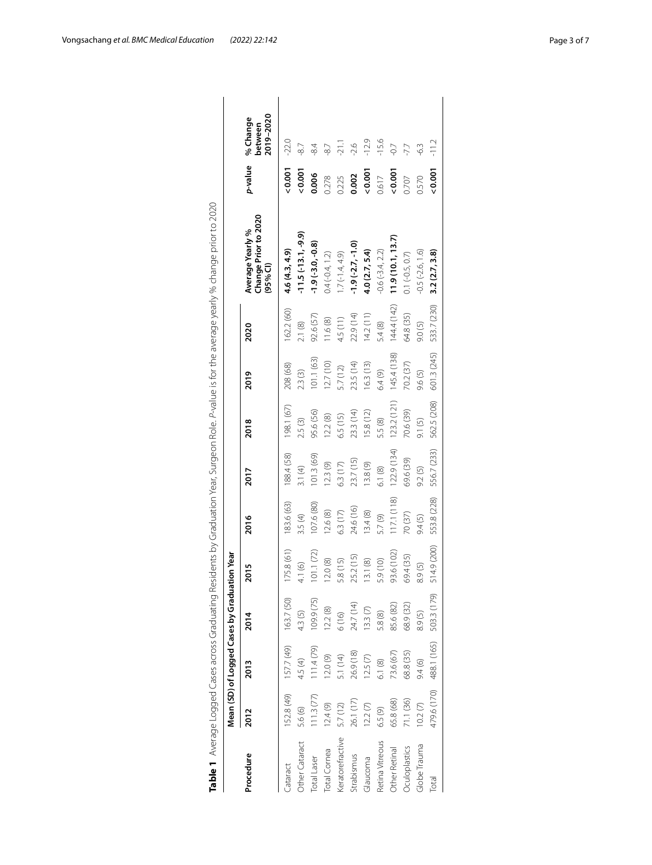|                     |            |                                              |             |             |             |             |             |             |             | Table 1 Average Logged Cases across Graduating Residents by Graduation Year, Surgeon Role. P-value is for the average yearly % change prior to 2020 |         |                                  |
|---------------------|------------|----------------------------------------------|-------------|-------------|-------------|-------------|-------------|-------------|-------------|-----------------------------------------------------------------------------------------------------------------------------------------------------|---------|----------------------------------|
|                     |            | Mean (SD) of Logged Cases by Graduation Year |             |             |             |             |             |             |             |                                                                                                                                                     |         |                                  |
| Procedure           | 2012       | 2013                                         | 2014        | 2015        | 2016        | 2017        | 2018        | 2019        | 2020        | Change Prior to 2020<br><b>Average Yearly %</b><br>(95% Cl)                                                                                         | p-value | 2019-2020<br>% Change<br>between |
| <b>Cataract</b>     | 152.8 (49) | $157.7(49)$ $163.7(50)$                      |             | 175.8 (61)  | 183.6 (63)  | 188.4 (58)  | 198.1 (67)  | 208 (68)    | 162.2 (60)  | 4.6(4.3, 4.9)                                                                                                                                       | 0.001   | $-22.0$                          |
| Other Cataract      | 5.6 (6)    | 4.5(4)                                       | 4.3(5)      | 4.1 (6)     | 3.5(4)      | 3.1(4)      | 2.5(3)      | 2.3(3)      | 2.1(8)      | $-11.5(-13.1, -9.9)$                                                                                                                                | 0.001   | $-87$                            |
| <b>Total Laser</b>  | 111.3(77)  | 111.4(79)                                    | 109.9 (75)  | 101.1(72)   | 107.6(80)   | 101.3 (69)  | 95.6 (56)   | 101.1 (63)  | 92.6 (57)   | $-1.9(-3.0, -0.8)$                                                                                                                                  | 0.006   | $-84$                            |
| <b>Total</b> Cornea | 12.4(9)    | 12.0(9)                                      | 12.2(8)     | 12.0(8)     | 12.6(8)     | 12.3(9)     | 12.2(8)     | 12.7(10)    | 11.6(8)     | $0.4(-0.4, 1.2)$                                                                                                                                    | 0.278   | $-87$                            |
| eratorefractive     | 5.7 (12)   | 5.1 (14)                                     | 6(16)       | 5.8 (15)    | 6.3(17)     | 6.3 (17)    | 6.5 (15)    | 5.7 (12)    | 4.5 (11)    | $1.7(-1.4, 4.9)$                                                                                                                                    | 0.225   | $-21.1$                          |
| Strabismus          | 26.1 (17)  | 26.9 (18)                                    | 24.7 (14)   | 25.2 (15)   | 24.6 (16)   | 23.7 (15)   | 23.3 (14)   | 23.5 (14)   | 22.9 (14)   | $-1.9(-2.7,-1.0)$                                                                                                                                   | 0.002   | $-2.6$                           |
| Glaucoma            | 12.2(7)    | 12.5(7)                                      | 13.3(7)     | 13.1 (8)    | 13.4(8)     | 13.8(9)     | 15.8 (12)   | 16.3(13)    | 14.2(11)    | 4.0(2.7, 5.4)                                                                                                                                       | 0.001   | $-12.9$                          |
| Retina Vitreous     | 6.5(9)     | 6.1(8)                                       | 5.8 (8)     | 5.9 (10)    | 5.7(9)      | 6.1(8)      | 5.5 (8)     | 6.4(9)      | 5.4 (8)     | $-0.6(-3.4, 2.2)$                                                                                                                                   | 0.617   | $-15.6$                          |
| Other Retinal       | 65.8 (68)  | 73.6 (67)                                    | 85.6 (82)   | 93.6 (102)  | 117.1 (118) | 122.9 (134) | 123.2 (121) | 145.4 (138) | 144.4 (142) | 11.9(10.1, 13.7)                                                                                                                                    | 0.001   | $-0.7$                           |
| Oculoplastics       | 71.1 (36)  | 68.8 (35)                                    | 68.9 (32)   | 69.4 (35)   | 70(37)      | 69.6 (39)   | 70.6 (39)   | 70.2 (37)   | 64.8 (35)   | $0.1 (-0.5, 0.7)$                                                                                                                                   | 0.707   |                                  |
| Globe Trauma        | 10.2(7)    | 9.4(6)                                       | 8.9(5)      | 8.9(5)      | 9.4(5)      | 9.2(5)      | 9.1(5)      | 9.6(5)      | 9.0(5)      | $-0.5(-2.6, 1.6)$                                                                                                                                   | 0.570   | $\widetilde{\varphi}$            |
| Total               |            | 479.6 (170) 488.1 (165)                      | 503.3 (179) | 514.9 (200) | 553.8 (228) | 556.7 (233) | 562.5 (208) | 601.3 (245) | 533.7 (230) | 3.2(2.7, 3.8)                                                                                                                                       | 0.001   | $-11.2$                          |

<span id="page-2-0"></span>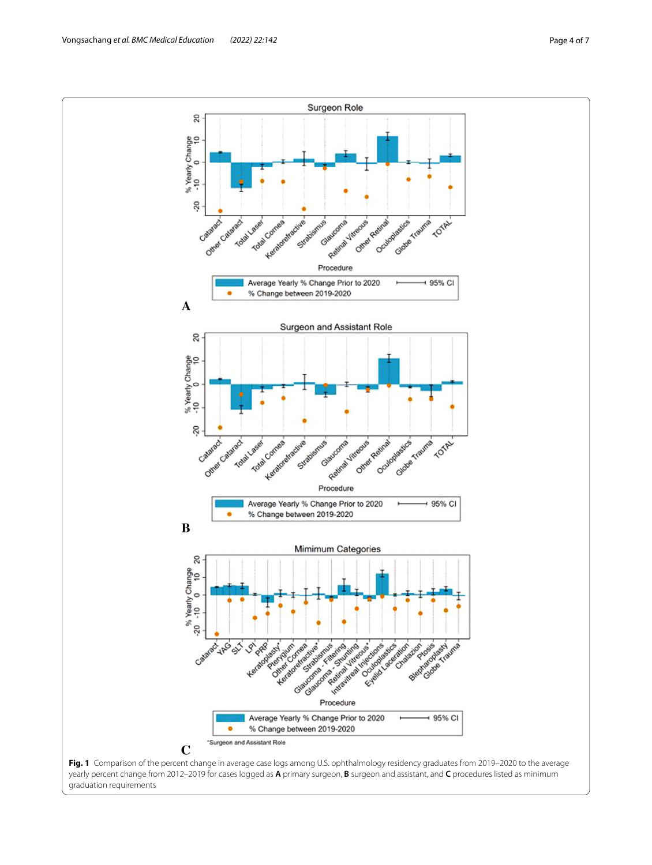

<span id="page-3-0"></span>yearly percent change from 2012–2019 for cases logged as **A** primary surgeon, **B** surgeon and assistant, and **C** procedures listed as minimum graduation requirements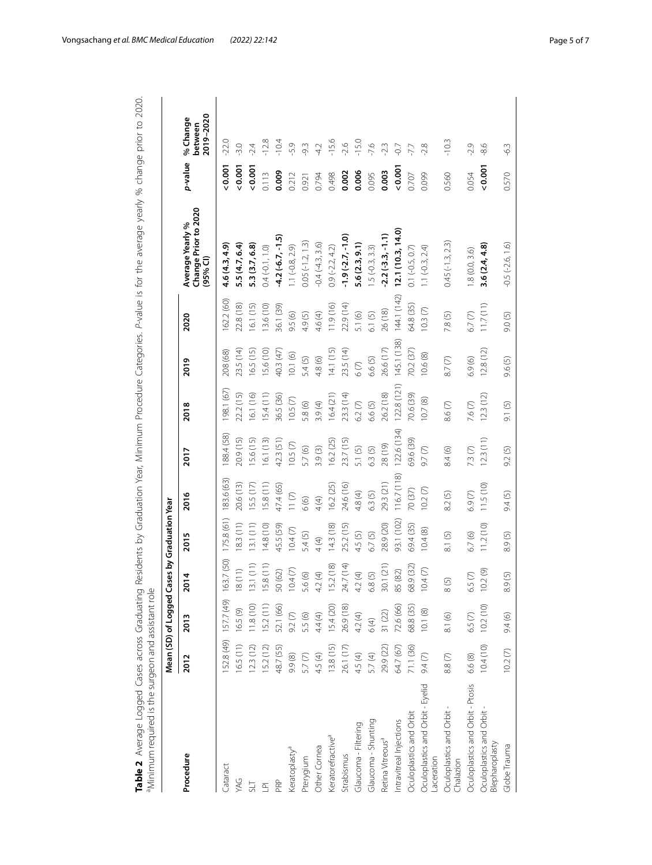|                                               |                    | Mean (SD) of Logged Cas |                                                                                | es by Graduation Year |             |             |              |             |             |                                                                 |         |                                  |
|-----------------------------------------------|--------------------|-------------------------|--------------------------------------------------------------------------------|-----------------------|-------------|-------------|--------------|-------------|-------------|-----------------------------------------------------------------|---------|----------------------------------|
| Procedure                                     | 2012               | 2013                    | 4<br>ຼຣ                                                                        | 2015                  | 2016        | 2017        | 2018         | 2019        | 2020        | Change Prior to 2020<br>Average Yearly %<br>(95% <sup>C</sup> ) | p-value | 2019-2020<br>% Change<br>between |
| Cataract                                      | 52.8 (49)          | 157.7 (49)              | 163.7 (50)                                                                     | 175.8(61)             | 183.6 (63)  | 88.4 (58)   | 98.1 (67)    | 208 (68)    | 62.2 (60)   | 4.6 (4.3, 4.9)                                                  | 0.001   | $-22.0$                          |
| <b>YAG</b>                                    | 16.5(11)           | 16.5(9)                 | $\left( \begin{matrix} 1 \\ 1 \end{matrix} \right)$<br>$\frac{\infty}{\infty}$ | 18.3(11)              | 20.6 (13)   | 20.9 (15)   | 22.2 (15)    | 23.5 (14)   | 22.8 (18)   | 5.5(4.7, 6.4)                                                   | 0.001   | $-3.0$                           |
|                                               | 12.3(12)           | 11.8(10)                | 1(11)<br>$\sim$                                                                | 13.1(11)              | 15.5(17)    | 15.6 (15)   | 16.1 (16)    | 16.5 (15)   | 16.1 (15)   | 5.3 (3.7, 6.8)                                                  | 0.001   | $-2.4$                           |
| $\overline{\mathbf{r}}$                       | 5.2 (12)           | 15.2(11)                | 8(11)<br>$\overline{15}$                                                       | 14.8(10)              | 15.8 (11)   | 16.1 (13)   | 15.4(11)     | 15.6 (10)   | 13.6(10)    | $0.4(-0.1, 1.0)$                                                | 0.113   | $-12.8$                          |
| PRP                                           | 48.7 (55)          | 52.1 (66)               | $(62)$<br>$\overline{50}$                                                      | 45.5 (59)             | 47.4 (65)   | 42.3 (51)   | 36.5 (36)    | 40.3 (47)   | 36.1 (39)   | $-4.2(-6.7, -1.5)$                                              | 0.009   | $-10.4$                          |
| Keratoplasty <sup>a</sup>                     | 9.9 (8)            | 9.2(7)                  | 10.4(7)                                                                        | 10.4(7)               | 11(7)       | 10.5(7)     | 10.5(7)      | 10.1(6)     | 9.5 (6)     | $1.1(-0.8, 2.9)$                                                | 0.212   | $-5.9$                           |
| Pterygium                                     | 5.7 <sub>(7)</sub> | 5.5 (6)                 | $\widehat{\odot}$<br>5.6                                                       | 5.4 (5)               | 6(6)        | 5.7(6)      | 5.8 (6)      | 5.4(5)      | 4.9(5)      | $0.05(-1.2, 1.3)$                                               | 0.921   | $-9.3$                           |
| Other Cornea                                  | 4.5(4)             | 4.4(4)                  | $\bigoplus$<br>4.2                                                             | 4(4)                  | 4(4)        | 3.9(3)      | 3.9(4)       | 4.8 (6)     | 4.6(4)      | $-0.4(-4.3, 3.6)$                                               | 0.794   | $-4.2$                           |
| Keratorefractive <sup>a</sup>                 | 3.8 (15)           | 15.4(20)                | 2(18)<br>15.4                                                                  | 14.3(18)              | 16.2 (25)   | 16.2(25)    | 16.4(21)     | 14.1(15)    | 11.9 (16)   | $0.9(-2.2, 4.2)$                                                | 0.498   | $-15.6$                          |
| Strabismus                                    | 26.1 (17)          | 26.9 (18)               | 7(14)<br>24.                                                                   | 25.2 (15)             | 24.6 (16)   | 23.7 (15)   | 23.3 (14)    | 23.5 (14)   | 22.9 (14)   | $-1.9(-2.7, -1.0)$                                              | 0.002   | $-2.6$                           |
| Glaucoma - Filtering                          | 4.5(4)             | 4.2(4)                  | $\bigoplus$<br>42                                                              | 4.5 (5)               | 4.8(4)      | 5.1 (5)     | $6.2(7)$     | 6(7)        | 5.1 (6)     | 5.6(2.3, 9.1)                                                   | 0.006   | $-15.0$                          |
| Glaucoma - Shunting                           | 5.7(4)             | 6 (4)                   | $\widetilde{S}$<br>68                                                          | 6.7(5)                | 6.3(5)      | 6.3(5)      | 6.6(5)       | 6.6(5)      | 6.1(5)      | $5(-0.3, 3.3)$                                                  | 0.095   | $-7.6$                           |
| Retina Vitreous <sup>a</sup>                  | 29.9 (22)          | 31(22)                  | 1(21)<br>$\approx$                                                             | 28.9 (20)             | 29.3 (21)   | 28 (19)     | 26.2 (18)    | 26.6 (17)   | 26 (18)     | $-2.2(-3.3,-1.1)$                                               | 0.003   | $-2.3$                           |
| Intravitreal Injections                       | 64.7 (67)          | 72.6 (66)               | $(82)$<br>85                                                                   | 93.1 (102)            | 116.7 (118) | 122.6 (134) | 122.8 (121)  | 145.1 (138) | 144.1 (142) | 12.1(10.3, 14.0)                                                | 0.001   | $-0.7$                           |
| Oculoplastics and Orbit                       | 71.1 (36)          | 68.8 (35)               | 9(32)<br>68                                                                    | 69.4 (35)             | 70 (37)     | 59.6 (39)   | 70.6 (39)    | 70.2(37)    | 64.8 (35)   | $0.1 (-0.5, 0.7)$                                               | 0.707   | -7.7                             |
| Oculoplastics and Orbit - Eyelid<br>aceration | 9.4(7)             | 10.1(8)                 | 4(7)<br>Š                                                                      | 10.4(8)               | 10.2(7)     | 9.7(7)      | 10.7(8)      | 10.6(8)     | 10.3(7)     | $1.1 (-0.3, 2.4)$                                               | 0.099   | $-2.8$                           |
| Oculoplastics and Orbit-<br>Chalazion         | $8.8(7)$           | 8.1 (6)                 | 8(5)                                                                           | 8.1(5)                | 8.2(5)      | 8.4(6)      | $6(7)$<br>∞ं | $8.7(7)$    | 7.8(5)      | $0.45(-1.3, 2.3)$                                               | 0.560   | $-10.3$                          |
| Oculoplastics and Orbit - Ptosis              | 6.6(8)             | 6.5(7)                  | $\odot$<br>6.5                                                                 | 6.7(6)                | 6.9(7)      | 7.3(7)      | 7.6(7)       | 6.9(6)      | $6.7(7)$    | 1.8(0.0, 3.6)                                                   | 0.054   | $-2.9$                           |
| Oculoplastics and Orbit<br>Blepharoplasty     | 10.4(10)           | 10.2(10)                | $\circledcirc$<br>$\frac{1}{2}$                                                | 11.2(10)              | 11.5(10)    | 12.3(11)    | 12.3(12)     | 12.8(12)    | 11.7(11)    | 3.6(2.4, 4.8)                                                   | 0.001   | $-8.6$                           |
| Globe Trauma                                  | 10.2(7)            | 9.4 (6)                 | 8.9(5)                                                                         | 8.9(5)                | 9.4(5)      | 9.2(5)      | 9.1 (5)      | 9.6(5)      | 9.0(5)      | $-0.5(-2.6, 1.6)$                                               | 0.570   | $-6.3$                           |

<span id="page-4-0"></span>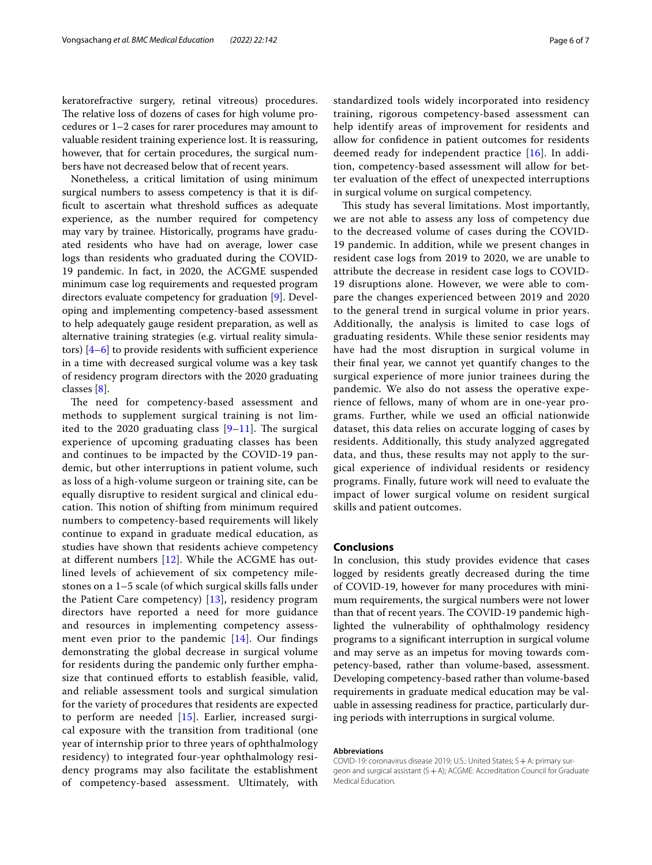keratorefractive surgery, retinal vitreous) procedures. The relative loss of dozens of cases for high volume procedures or 1–2 cases for rarer procedures may amount to valuable resident training experience lost. It is reassuring, however, that for certain procedures, the surgical numbers have not decreased below that of recent years.

Nonetheless, a critical limitation of using minimum surgical numbers to assess competency is that it is difficult to ascertain what threshold suffices as adequate experience, as the number required for competency may vary by trainee. Historically, programs have graduated residents who have had on average, lower case logs than residents who graduated during the COVID-19 pandemic. In fact, in 2020, the ACGME suspended minimum case log requirements and requested program directors evaluate competency for graduation [\[9](#page-6-7)]. Developing and implementing competency-based assessment to help adequately gauge resident preparation, as well as alternative training strategies (e.g. virtual reality simulators)  $[4-6]$  $[4-6]$  to provide residents with sufficient experience in a time with decreased surgical volume was a key task of residency program directors with the 2020 graduating classes [[8\]](#page-6-6).

The need for competency-based assessment and methods to supplement surgical training is not limited to the 2020 graduating class  $[9-11]$  $[9-11]$  $[9-11]$ . The surgical experience of upcoming graduating classes has been and continues to be impacted by the COVID-19 pandemic, but other interruptions in patient volume, such as loss of a high-volume surgeon or training site, can be equally disruptive to resident surgical and clinical education. This notion of shifting from minimum required numbers to competency-based requirements will likely continue to expand in graduate medical education, as studies have shown that residents achieve competency at diferent numbers [[12](#page-6-9)]. While the ACGME has outlined levels of achievement of six competency milestones on a 1–5 scale (of which surgical skills falls under the Patient Care competency) [\[13\]](#page-6-10), residency program directors have reported a need for more guidance and resources in implementing competency assessment even prior to the pandemic  $[14]$ . Our findings demonstrating the global decrease in surgical volume for residents during the pandemic only further emphasize that continued efforts to establish feasible, valid, and reliable assessment tools and surgical simulation for the variety of procedures that residents are expected to perform are needed [[15\]](#page-6-12). Earlier, increased surgical exposure with the transition from traditional (one year of internship prior to three years of ophthalmology residency) to integrated four-year ophthalmology residency programs may also facilitate the establishment of competency-based assessment. Ultimately, with standardized tools widely incorporated into residency training, rigorous competency-based assessment can help identify areas of improvement for residents and allow for confdence in patient outcomes for residents deemed ready for independent practice [[16\]](#page-6-13). In addition, competency-based assessment will allow for better evaluation of the efect of unexpected interruptions in surgical volume on surgical competency.

This study has several limitations. Most importantly, we are not able to assess any loss of competency due to the decreased volume of cases during the COVID-19 pandemic. In addition, while we present changes in resident case logs from 2019 to 2020, we are unable to attribute the decrease in resident case logs to COVID-19 disruptions alone. However, we were able to compare the changes experienced between 2019 and 2020 to the general trend in surgical volume in prior years. Additionally, the analysis is limited to case logs of graduating residents. While these senior residents may have had the most disruption in surgical volume in their fnal year, we cannot yet quantify changes to the surgical experience of more junior trainees during the pandemic. We also do not assess the operative experience of fellows, many of whom are in one-year programs. Further, while we used an official nationwide dataset, this data relies on accurate logging of cases by residents. Additionally, this study analyzed aggregated data, and thus, these results may not apply to the surgical experience of individual residents or residency programs. Finally, future work will need to evaluate the impact of lower surgical volume on resident surgical skills and patient outcomes.

## **Conclusions**

In conclusion, this study provides evidence that cases logged by residents greatly decreased during the time of COVID-19, however for many procedures with minimum requirements, the surgical numbers were not lower than that of recent years. The COVID-19 pandemic highlighted the vulnerability of ophthalmology residency programs to a signifcant interruption in surgical volume and may serve as an impetus for moving towards competency-based, rather than volume-based, assessment. Developing competency-based rather than volume-based requirements in graduate medical education may be valuable in assessing readiness for practice, particularly during periods with interruptions in surgical volume.

#### **Abbreviations**

COVID-19: coronavirus disease 2019; U.S.: United States; S+A: primary surgeon and surgical assistant (S+A); ACGME: Accreditation Council for Graduate Medical Education.